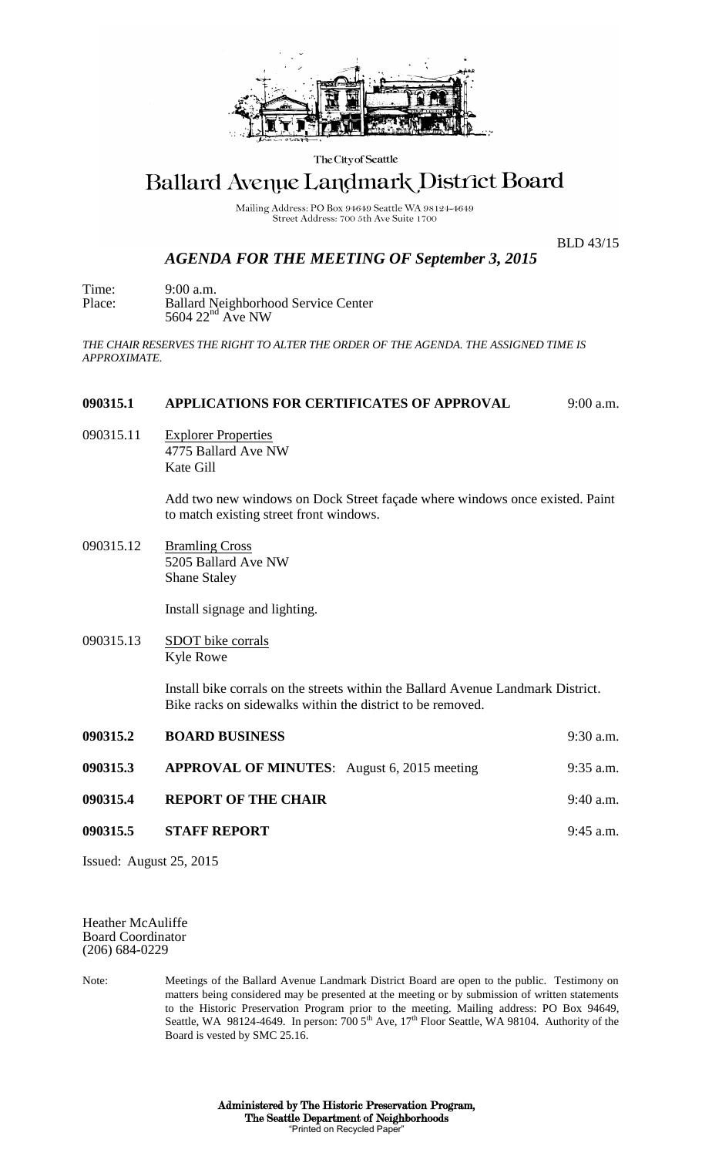

The City of Seattle

## Ballard Avenue Landmark District Board

Mailing Address: PO Box 94649 Seattle WA 98124-4649 Street Address: 700 5th Ave Suite 1700

BLD 43/15

## *AGENDA FOR THE MEETING OF September 3, 2015*

Time: 9:00 a.m. Place: Ballard Neighborhood Service Center  $5604$   $22<sup>nd</sup>$  Ave NW

*THE CHAIR RESERVES THE RIGHT TO ALTER THE ORDER OF THE AGENDA. THE ASSIGNED TIME IS APPROXIMATE.*

## **090315.1 APPLICATIONS FOR CERTIFICATES OF APPROVAL** 9:00 a.m.

090315.11 Explorer Properties 4775 Ballard Ave NW Kate Gill

> Add two new windows on Dock Street façade where windows once existed. Paint to match existing street front windows.

090315.12 Bramling Cross 5205 Ballard Ave NW Shane Staley

Install signage and lighting.

090315.13 SDOT bike corrals Kyle Rowe

> Install bike corrals on the streets within the Ballard Avenue Landmark District. Bike racks on sidewalks within the district to be removed.

| 090315.2 | <b>BOARD BUSINESS</b>                              | $9:30$ a.m. |
|----------|----------------------------------------------------|-------------|
| 090315.3 | <b>APPROVAL OF MINUTES:</b> August 6, 2015 meeting | $9:35$ a.m. |
| 090315.4 | <b>REPORT OF THE CHAIR</b>                         | $9:40$ a.m. |
| 090315.5 | <b>STAFF REPORT</b>                                | $9:45$ a.m. |
|          |                                                    |             |

Issued: August 25, 2015

Heather McAuliffe Board Coordinator (206) 684-0229

Note: Meetings of the Ballard Avenue Landmark District Board are open to the public. Testimony on matters being considered may be presented at the meeting or by submission of written statements to the Historic Preservation Program prior to the meeting. Mailing address: PO Box 94649, Seattle, WA 98124-4649. In person:  $7005<sup>th</sup>$  Ave,  $17<sup>th</sup>$  Floor Seattle, WA 98104. Authority of the Board is vested by SMC 25.16.